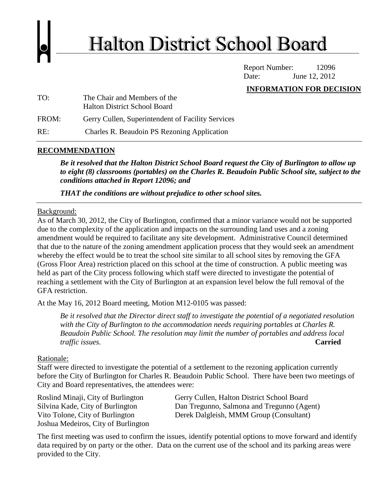

Report Number: 12096 Date: June 12, 2012

#### **INFORMATION FOR DECISION**

| TO:   | The Chair and Members of the                      |
|-------|---------------------------------------------------|
|       | <b>Halton District School Board</b>               |
| FROM: | Gerry Cullen, Superintendent of Facility Services |
| RE:   | Charles R. Beaudoin PS Rezoning Application       |

#### **RECOMMENDATION**

*Be it resolved that the Halton District School Board request the City of Burlington to allow up to eight (8) classrooms (portables) on the Charles R. Beaudoin Public School site, subject to the conditions attached in Report 12096; and*

*THAT the conditions are without prejudice to other school sites.*

#### Background:

As of March 30, 2012, the City of Burlington, confirmed that a minor variance would not be supported due to the complexity of the application and impacts on the surrounding land uses and a zoning amendment would be required to facilitate any site development. Administrative Council determined that due to the nature of the zoning amendment application process that they would seek an amendment whereby the effect would be to treat the school site similar to all school sites by removing the GFA (Gross Floor Area) restriction placed on this school at the time of construction. A public meeting was held as part of the City process following which staff were directed to investigate the potential of reaching a settlement with the City of Burlington at an expansion level below the full removal of the GFA restriction.

At the May 16, 2012 Board meeting, Motion M12-0105 was passed:

*Be it resolved that the Director direct staff to investigate the potential of a negotiated resolution with the City of Burlington to the accommodation needs requiring portables at Charles R. Beaudoin Public School. The resolution may limit the number of portables and address local traffic issues.* **Carried**

#### Rationale:

Staff were directed to investigate the potential of a settlement to the rezoning application currently before the City of Burlington for Charles R. Beaudoin Public School. There have been two meetings of City and Board representatives, the attendees were:

Joshua Medeiros, City of Burlington

Roslind Minaji, City of Burlington Gerry Cullen, Halton District School Board Silvina Kade, City of Burlington Dan Tregunno, Salmona and Tregunno (Agent) Vito Tolone, City of Burlington Derek Dalgleish, MMM Group (Consultant)

The first meeting was used to confirm the issues, identify potential options to move forward and identify data required by on party or the other. Data on the current use of the school and its parking areas were provided to the City.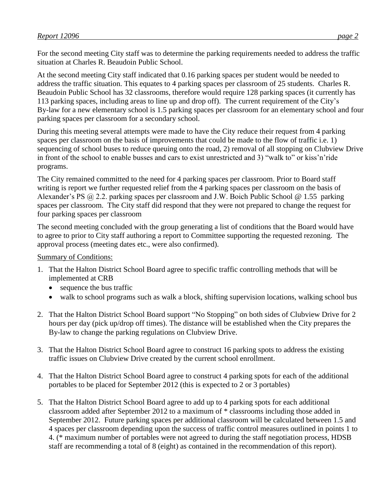For the second meeting City staff was to determine the parking requirements needed to address the traffic situation at Charles R. Beaudoin Public School.

At the second meeting City staff indicated that 0.16 parking spaces per student would be needed to address the traffic situation. This equates to 4 parking spaces per classroom of 25 students. Charles R. Beaudoin Public School has 32 classrooms, therefore would require 128 parking spaces (it currently has 113 parking spaces, including areas to line up and drop off). The current requirement of the City's By-law for a new elementary school is 1.5 parking spaces per classroom for an elementary school and four parking spaces per classroom for a secondary school.

During this meeting several attempts were made to have the City reduce their request from 4 parking spaces per classroom on the basis of improvements that could be made to the flow of traffic i.e. 1) sequencing of school buses to reduce queuing onto the road, 2) removal of all stopping on Clubview Drive in front of the school to enable busses and cars to exist unrestricted and 3) "walk to" or kiss'n'ride programs.

The City remained committed to the need for 4 parking spaces per classroom. Prior to Board staff writing is report we further requested relief from the 4 parking spaces per classroom on the basis of Alexander's PS @ 2.2. parking spaces per classroom and J.W. Boich Public School @ 1.55 parking spaces per classroom. The City staff did respond that they were not prepared to change the request for four parking spaces per classroom

The second meeting concluded with the group generating a list of conditions that the Board would have to agree to prior to City staff authoring a report to Committee supporting the requested rezoning. The approval process (meeting dates etc., were also confirmed).

Summary of Conditions:

- 1. That the Halton District School Board agree to specific traffic controlling methods that will be implemented at CRB
	- sequence the bus traffic
	- walk to school programs such as walk a block, shifting supervision locations, walking school bus
- 2. That the Halton District School Board support "No Stopping" on both sides of Clubview Drive for 2 hours per day (pick up/drop off times). The distance will be established when the City prepares the By-law to change the parking regulations on Clubview Drive.
- 3. That the Halton District School Board agree to construct 16 parking spots to address the existing traffic issues on Clubview Drive created by the current school enrollment.
- 4. That the Halton District School Board agree to construct 4 parking spots for each of the additional portables to be placed for September 2012 (this is expected to 2 or 3 portables)
- 5. That the Halton District School Board agree to add up to 4 parking spots for each additional classroom added after September 2012 to a maximum of \* classrooms including those added in September 2012. Future parking spaces per additional classroom will be calculated between 1.5 and 4 spaces per classroom depending upon the success of traffic control measures outlined in points 1 to 4. (\* maximum number of portables were not agreed to during the staff negotiation process, HDSB staff are recommending a total of 8 (eight) as contained in the recommendation of this report).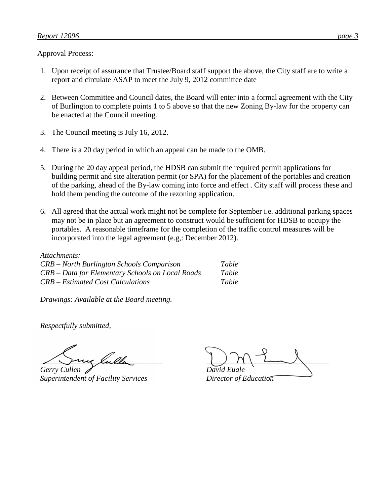Approval Process:

- 1. Upon receipt of assurance that Trustee/Board staff support the above, the City staff are to write a report and circulate ASAP to meet the July 9, 2012 committee date
- 2. Between Committee and Council dates, the Board will enter into a formal agreement with the City of Burlington to complete points 1 to 5 above so that the new Zoning By-law for the property can be enacted at the Council meeting.
- 3. The Council meeting is July 16, 2012.
- 4. There is a 20 day period in which an appeal can be made to the OMB.
- 5. During the 20 day appeal period, the HDSB can submit the required permit applications for building permit and site alteration permit (or SPA) for the placement of the portables and creation of the parking, ahead of the By-law coming into force and effect . City staff will process these and hold them pending the outcome of the rezoning application.
- 6. All agreed that the actual work might not be complete for September i.e. additional parking spaces may not be in place but an agreement to construct would be sufficient for HDSB to occupy the portables. A reasonable timeframe for the completion of the traffic control measures will be incorporated into the legal agreement (e.g,: December 2012).

*Attachments: CRB – North Burlington Schools Comparison Table CRB – Data for Elementary Schools on Local Roads Table CRB – Estimated Cost Calculations Table*

*Drawings: Available at the Board meeting.*

*Respectfully submitted,*

*Gerry Cullen David Euale Superintendent of Facility Services Director of Education* 

*\_\_\_\_\_\_\_\_\_\_\_\_\_\_\_\_\_\_\_\_\_\_\_\_\_\_\_\_\_\_\_\_ \_\_\_\_\_\_\_\_\_\_\_\_\_\_\_\_\_\_\_\_\_\_\_\_\_\_\_\_\_\_\_\_*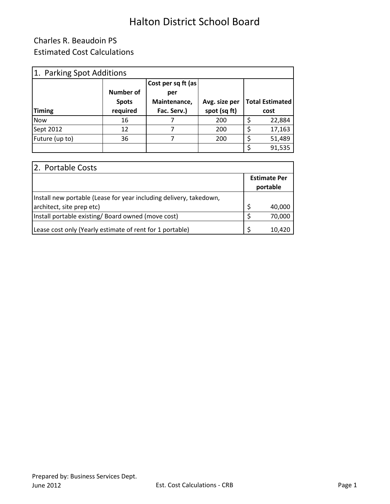### Charles R. Beaudoin PS Estimated Cost Calculations

| 1. Parking Spot Additions |              |                     |               |                        |        |  |  |  |  |
|---------------------------|--------------|---------------------|---------------|------------------------|--------|--|--|--|--|
|                           |              | Cost per sq ft (as) |               |                        |        |  |  |  |  |
|                           | Number of    | per                 |               |                        |        |  |  |  |  |
|                           | <b>Spots</b> | Maintenance,        | Avg. size per | <b>Total Estimated</b> |        |  |  |  |  |
| <b>Timing</b>             | required     | Fac. Serv.)         | spot (sq ft)  | cost                   |        |  |  |  |  |
| <b>Now</b>                | 16           |                     | 200           |                        | 22,884 |  |  |  |  |
| Sept 2012                 | 12           | 7                   | 200           |                        | 17,163 |  |  |  |  |
| Future (up to)            | 36           | 7                   | 200           |                        | 51,489 |  |  |  |  |
|                           |              |                     |               |                        | 91,535 |  |  |  |  |

| 2. Portable Costs                                                  |                                 |        |  |
|--------------------------------------------------------------------|---------------------------------|--------|--|
|                                                                    | <b>Estimate Per</b><br>portable |        |  |
| Install new portable (Lease for year including delivery, takedown, |                                 |        |  |
| architect, site prep etc)                                          | $\zeta$                         | 40,000 |  |
| Install portable existing/ Board owned (move cost)                 | S                               | 70,000 |  |
| Lease cost only (Yearly estimate of rent for 1 portable)           |                                 | 10,420 |  |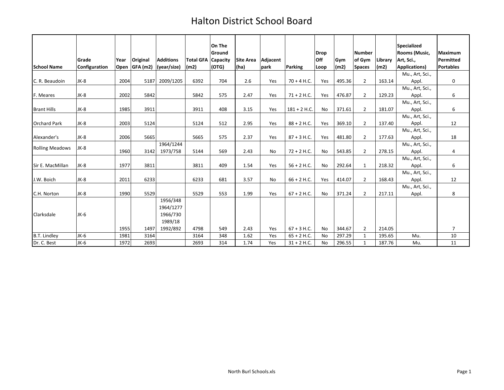|                        |                        |      |                           |                                 |                                   | On The<br>Ground |                  |                  |                | <b>Drop</b> |             | <b>Number</b>           |                 | <b>Specialized</b><br>Rooms (Music,     | <b>Maximum</b>                |
|------------------------|------------------------|------|---------------------------|---------------------------------|-----------------------------------|------------------|------------------|------------------|----------------|-------------|-------------|-------------------------|-----------------|-----------------------------------------|-------------------------------|
| <b>School Name</b>     | Grade<br>Configuration | Year | Original<br>Open GFA (m2) | <b>Additions</b><br>(year/size) | <b>Total GFA Capacity</b><br>(m2) | (OTG)            | <b>Site Area</b> | Adjacent<br>park | <b>Parking</b> | <b>Off</b>  | Gvm<br>(m2) | of Gym<br><b>Spaces</b> | Library<br>(m2) | Art, Sci.,                              | Permitted<br><b>Portables</b> |
|                        |                        |      |                           |                                 |                                   |                  | (ha)             |                  |                | Loop        |             |                         |                 | <b>Applications)</b><br>Mu., Art, Sci., |                               |
| C. R. Beaudoin         | JK-8                   | 2004 | 5187                      | 2009/1205                       | 6392                              | 704              | 2.6              | Yes              | $70 + 4$ H.C.  | Yes         | 495.36      | $\overline{2}$          | 163.14          | Appl.                                   | 0                             |
|                        |                        |      |                           |                                 |                                   |                  |                  |                  |                |             |             |                         |                 | Mu., Art, Sci.,                         |                               |
| F. Meares              | JK-8                   | 2002 | 5842                      |                                 | 5842                              | 575              | 2.47             | Yes              | $71 + 2$ H.C.  | Yes         | 476.87      | $\overline{2}$          | 129.23          | Appl.                                   | 6                             |
|                        |                        |      |                           |                                 |                                   |                  |                  |                  |                |             |             |                         |                 | Mu., Art, Sci.,                         |                               |
| <b>Brant Hills</b>     | $JK-8$                 | 1985 | 3911                      |                                 | 3911                              | 408              | 3.15             | Yes              | $181 + 2$ H.C. | No          | 371.61      | $\overline{2}$          | 181.07          | Appl.                                   | 6                             |
|                        |                        |      |                           |                                 |                                   |                  |                  |                  |                |             |             |                         |                 | Mu., Art, Sci.,                         |                               |
| <b>Orchard Park</b>    | $JK-8$                 | 2003 | 5124                      |                                 | 5124                              | 512              | 2.95             | Yes              | $88 + 2$ H.C.  | Yes         | 369.10      | $\overline{2}$          | 137.40          | Appl.                                   | 12                            |
|                        |                        |      |                           |                                 |                                   |                  |                  |                  |                |             |             |                         |                 | Mu., Art, Sci.,                         |                               |
| Alexander's            | $JK-8$                 | 2006 | 5665                      |                                 | 5665                              | 575              | 2.37             | Yes              | $87 + 3$ H.C.  | Yes         | 481.80      | $\overline{2}$          | 177.63          | Appl.                                   | 18                            |
| <b>Rolling Meadows</b> | JK-8                   |      |                           | 1964/1244                       |                                   |                  |                  |                  |                |             |             |                         |                 | Mu., Art, Sci.,                         |                               |
|                        |                        | 1960 | 3142                      | 1973/758                        | 5144                              | 569              | 2.43             | <b>No</b>        | $72 + 2$ H.C.  | No          | 543.85      | $\overline{2}$          | 278.15          | Appl.                                   | 4                             |
|                        |                        |      |                           |                                 |                                   |                  |                  |                  |                |             |             |                         |                 | Mu., Art, Sci.,                         |                               |
| Sir E. MacMillan       | $JK-8$                 | 1977 | 3811                      |                                 | 3811                              | 409              | 1.54             | Yes              | $56 + 2$ H.C.  | No          | 292.64      | 1                       | 218.32          | Appl.                                   | 6                             |
|                        |                        |      |                           |                                 |                                   |                  |                  |                  |                |             |             |                         |                 | Mu., Art, Sci.,                         |                               |
| J.W. Boich             | JK-8                   | 2011 | 6233                      |                                 | 6233                              | 681              | 3.57             | <b>No</b>        | $66 + 2$ H.C.  | Yes         | 414.07      | $\overline{2}$          | 168.43          | Appl.                                   | 12                            |
|                        |                        |      |                           |                                 |                                   |                  |                  |                  |                |             |             |                         |                 | Mu., Art, Sci.,                         |                               |
| C.H. Norton            | JK-8                   | 1990 | 5529                      |                                 | 5529                              | 553              | 1.99             | Yes              | $67 + 2$ H.C.  | No          | 371.24      | $\overline{2}$          | 217.11          | Appl.                                   | 8                             |
|                        |                        |      |                           | 1956/348                        |                                   |                  |                  |                  |                |             |             |                         |                 |                                         |                               |
|                        |                        |      |                           | 1964/1277                       |                                   |                  |                  |                  |                |             |             |                         |                 |                                         |                               |
| Clarksdale             | JK-6                   |      |                           | 1966/730                        |                                   |                  |                  |                  |                |             |             |                         |                 |                                         |                               |
|                        |                        |      |                           | 1989/18                         |                                   |                  |                  |                  |                |             |             |                         |                 |                                         |                               |
|                        |                        | 1955 | 1497                      | 1992/892                        | 4798                              | 549              | 2.43             | Yes              | $67 + 3$ H.C.  | No          | 344.67      | $\overline{2}$          | 214.05          |                                         | $\overline{7}$                |
| <b>B.T. Lindley</b>    | JK-6                   | 1981 | 3164                      |                                 | 3164                              | 348              | 1.62             | Yes              | $65 + 2$ H.C.  | <b>No</b>   | 297.29      | $\mathbf{1}$            | 195.65          | Mu.                                     | 10                            |
| Dr. C. Best            | JK-6                   | 1972 | 2693                      |                                 | 2693                              | 314              | 1.74             | Yes              | $31 + 2$ H.C.  | No          | 296.55      | $\mathbf{1}$            | 187.76          | Mu.                                     | 11                            |